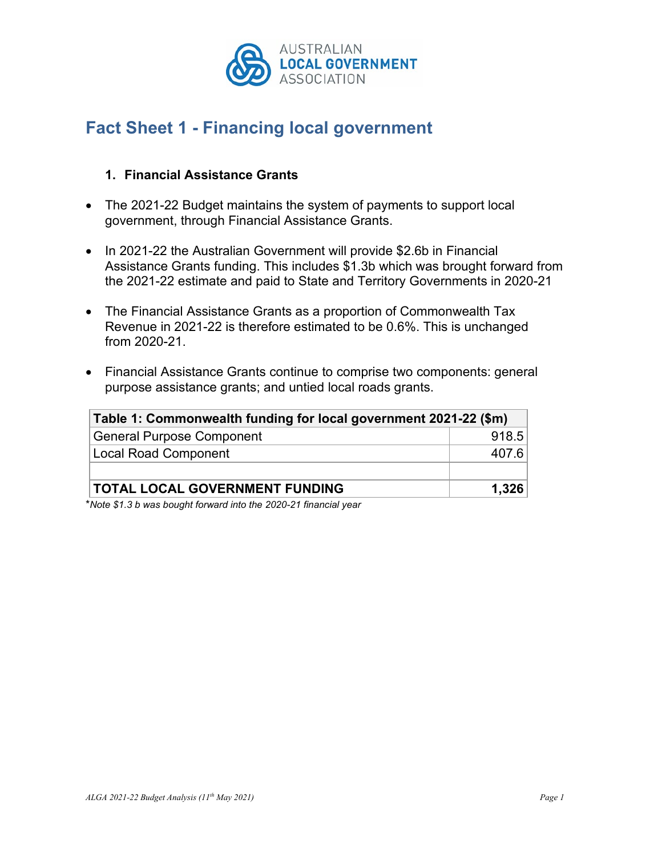

## **Fact Sheet 1 - Financing local government**

## **1. Financial Assistance Grants**

- The 2021-22 Budget maintains the system of payments to support local government, through Financial Assistance Grants.
- In 2021-22 the Australian Government will provide \$2.6b in Financial Assistance Grants funding. This includes \$1.3b which was brought forward from the 2021-22 estimate and paid to State and Territory Governments in 2020-21
- The Financial Assistance Grants as a proportion of Commonwealth Tax Revenue in 2021-22 is therefore estimated to be 0.6%. This is unchanged from 2020-21.
- Financial Assistance Grants continue to comprise two components: general purpose assistance grants; and untied local roads grants.

| Table 1: Commonwealth funding for local government 2021-22 (\$m) |       |  |  |  |
|------------------------------------------------------------------|-------|--|--|--|
| <b>General Purpose Component</b>                                 | 918.5 |  |  |  |
| Local Road Component                                             | 407.6 |  |  |  |
|                                                                  |       |  |  |  |
| <b>TOTAL LOCAL GOVERNMENT FUNDING</b>                            | 1,326 |  |  |  |

\**Note \$1.3 b was bought forward into the 2020-21 financial year*